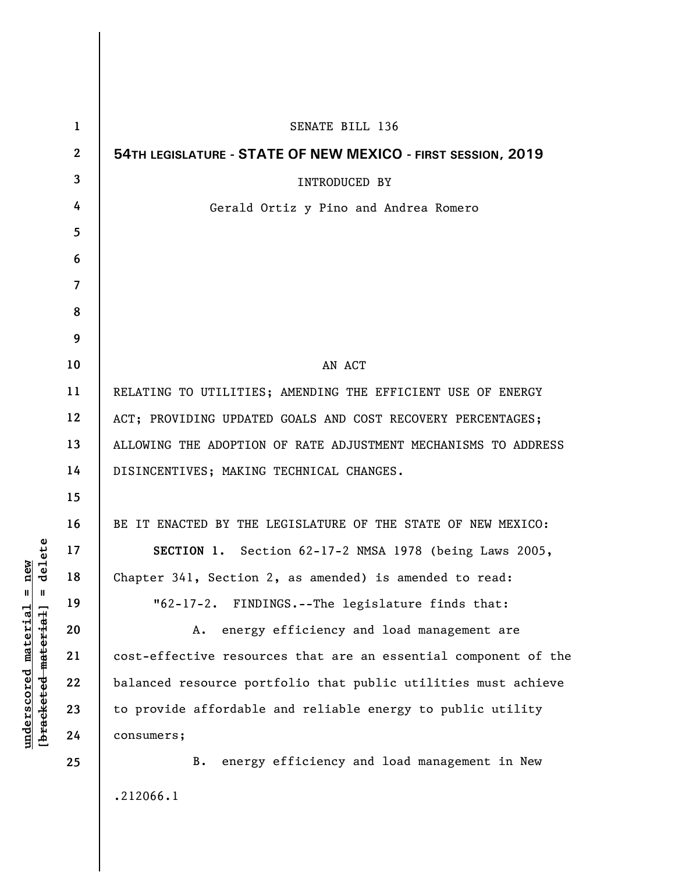| $\mathbf{1}$     | SENATE BILL 136                                                 |
|------------------|-----------------------------------------------------------------|
| $\boldsymbol{2}$ | 54TH LEGISLATURE - STATE OF NEW MEXICO - FIRST SESSION, 2019    |
| 3                | <b>INTRODUCED BY</b>                                            |
| 4                | Gerald Ortiz y Pino and Andrea Romero                           |
| 5                |                                                                 |
| 6                |                                                                 |
| 7                |                                                                 |
| 8                |                                                                 |
| 9                |                                                                 |
| 10               | AN ACT                                                          |
| 11               | RELATING TO UTILITIES; AMENDING THE EFFICIENT USE OF ENERGY     |
| 12               | ACT; PROVIDING UPDATED GOALS AND COST RECOVERY PERCENTAGES;     |
| 13               | ALLOWING THE ADOPTION OF RATE ADJUSTMENT MECHANISMS TO ADDRESS  |
| 14               | DISINCENTIVES; MAKING TECHNICAL CHANGES.                        |
| 15               |                                                                 |
| 16               | BE IT ENACTED BY THE LEGISLATURE OF THE STATE OF NEW MEXICO:    |
| 17               | SECTION 1. Section 62-17-2 NMSA 1978 (being Laws 2005,          |
| 18               | Chapter 341, Section 2, as amended) is amended to read:         |
| 19               | "62-17-2. FINDINGS.--The legislature finds that:                |
| 20               | energy efficiency and load management are<br>А.                 |
| 21               | cost-effective resources that are an essential component of the |
| 22               | balanced resource portfolio that public utilities must achieve  |
| 23               | to provide affordable and reliable energy to public utility     |
| 24               | consumers;                                                      |
| 25               | B. energy efficiency and load management in New                 |
|                  | .212066.1                                                       |
|                  |                                                                 |

 $[**bracket** etc.**eted** meter $at$ ]. = delete$ **[bracketed material] = delete**  $underscored material = new$ **underscored material = new**

 $\overline{\phantom{a}}$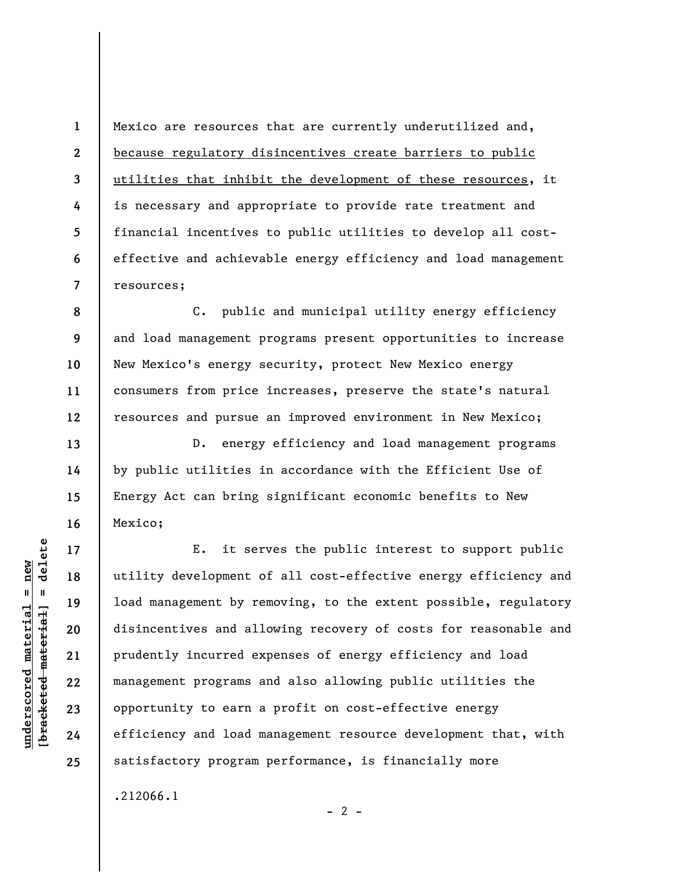Mexico are resources that are currently underutilized and, because regulatory disincentives create barriers to public utilities that inhibit the development of these resources, it is necessary and appropriate to provide rate treatment and financial incentives to public utilities to develop all costeffective and achievable energy efficiency and load management resources;

**8 9 10 11 12**  C. public and municipal utility energy efficiency and load management programs present opportunities to increase New Mexico's energy security, protect New Mexico energy consumers from price increases, preserve the state's natural resources and pursue an improved environment in New Mexico;

D. energy efficiency and load management programs by public utilities in accordance with the Efficient Use of Energy Act can bring significant economic benefits to New Mexico;

E. it serves the public interest to support public utility development of all cost-effective energy efficiency and load management by removing, to the extent possible, regulatory disincentives and allowing recovery of costs for reasonable and prudently incurred expenses of energy efficiency and load management programs and also allowing public utilities the opportunity to earn a profit on cost-effective energy efficiency and load management resource development that, with satisfactory program performance, is financially more

 $- 2 -$ 

.212066.1

 $\frac{1}{2}$  intereted material = delete **[bracketed material] = delete**  $underscored material = new$ **underscored material = new**

**1** 

**2** 

**3** 

**4** 

**5** 

**6** 

**7** 

**13** 

**14** 

**15** 

**16** 

**17** 

**18** 

**19** 

**20** 

**21** 

**22** 

**23** 

**24**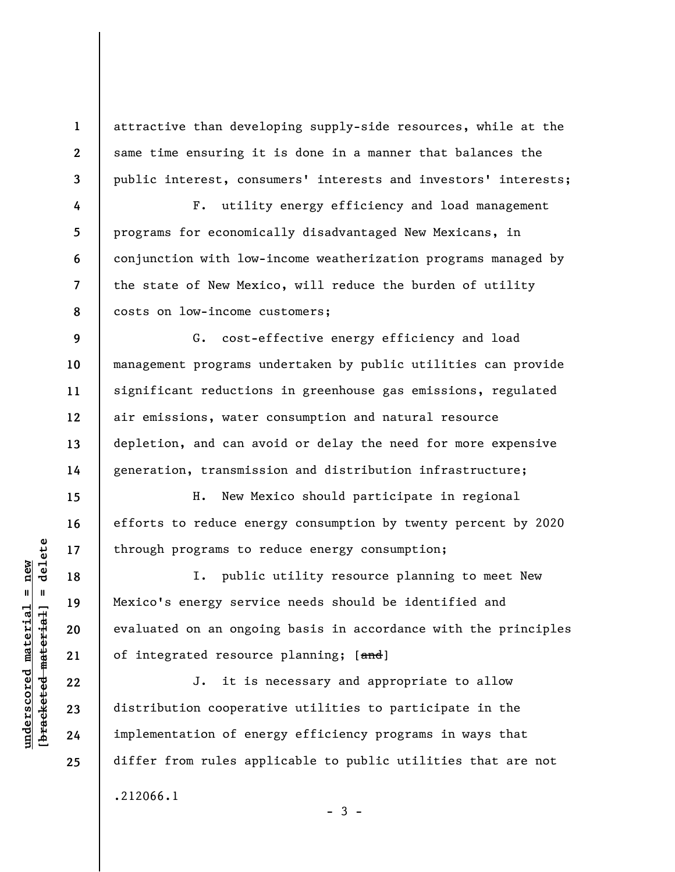attractive than developing supply-side resources, while at the same time ensuring it is done in a manner that balances the public interest, consumers' interests and investors' interests;

 F. utility energy efficiency and load management programs for economically disadvantaged New Mexicans, in conjunction with low-income weatherization programs managed by the state of New Mexico, will reduce the burden of utility costs on low-income customers;

G. cost-effective energy efficiency and load management programs undertaken by public utilities can provide significant reductions in greenhouse gas emissions, regulated air emissions, water consumption and natural resource depletion, and can avoid or delay the need for more expensive generation, transmission and distribution infrastructure;

H. New Mexico should participate in regional efforts to reduce energy consumption by twenty percent by 2020 through programs to reduce energy consumption;

I. public utility resource planning to meet New Mexico's energy service needs should be identified and evaluated on an ongoing basis in accordance with the principles of integrated resource planning; [and]

J. it is necessary and appropriate to allow distribution cooperative utilities to participate in the implementation of energy efficiency programs in ways that differ from rules applicable to public utilities that are not .212066.1  $-3 -$ 

 $\frac{1}{2}$  intereted material = delete **[bracketed material] = delete**  $underscored material = new$ **underscored material = new**

**1** 

**2** 

**3** 

**4** 

**5** 

**6** 

**7** 

**8** 

**9** 

**10** 

**11** 

**12** 

**13** 

**14** 

**15** 

**16** 

**17** 

**18** 

**19** 

**20** 

**21** 

**22** 

**23** 

**24**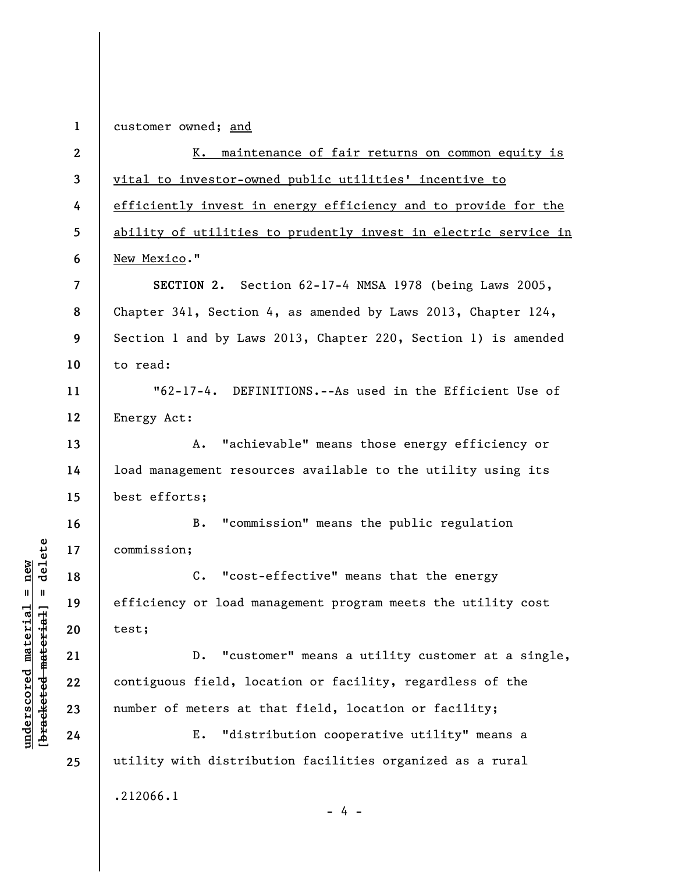**1 2 3 4 5 6 7 8 9 10 11 12 13 14 15 16 17 18 19 20 21 22 23 24 25**  customer owned; and K. maintenance of fair returns on common equity is vital to investor-owned public utilities' incentive to efficiently invest in energy efficiency and to provide for the ability of utilities to prudently invest in electric service in New Mexico." **SECTION 2.** Section 62-17-4 NMSA 1978 (being Laws 2005, Chapter 341, Section 4, as amended by Laws 2013, Chapter 124, Section 1 and by Laws 2013, Chapter 220, Section 1) is amended to read: "62-17-4. DEFINITIONS.--As used in the Efficient Use of Energy Act: A. "achievable" means those energy efficiency or load management resources available to the utility using its best efforts; B. "commission" means the public regulation commission; C. "cost-effective" means that the energy efficiency or load management program meets the utility cost test; D. "customer" means a utility customer at a single, contiguous field, location or facility, regardless of the number of meters at that field, location or facility; E. "distribution cooperative utility" means a utility with distribution facilities organized as a rural .212066.1 - 4 -

**underscored material = new [bracketed material] = delete**

 $b$ racketed material] = delete  $underscored material = new$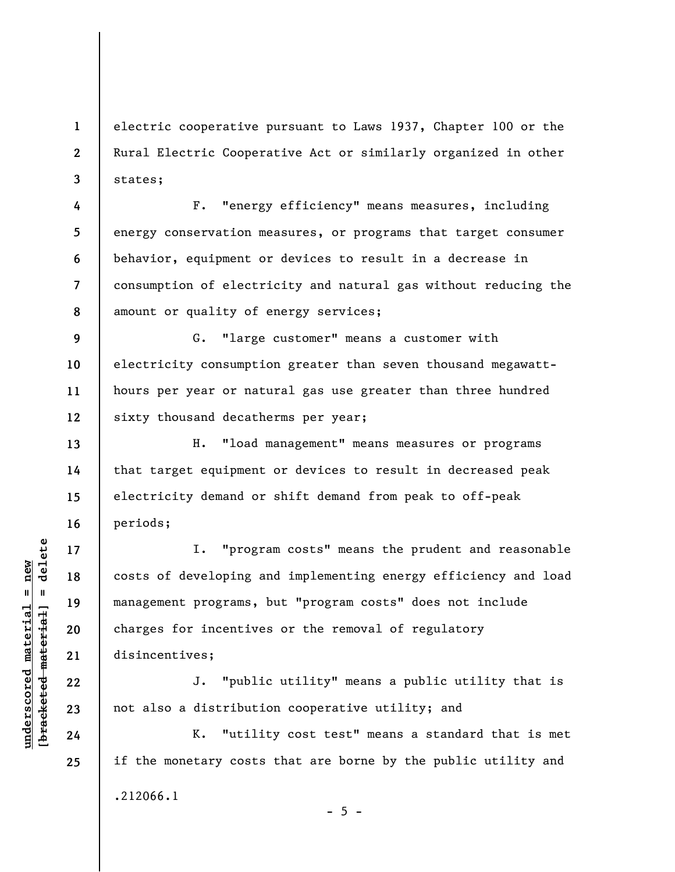electric cooperative pursuant to Laws 1937, Chapter 100 or the Rural Electric Cooperative Act or similarly organized in other states;

**8**  F. "energy efficiency" means measures, including energy conservation measures, or programs that target consumer behavior, equipment or devices to result in a decrease in consumption of electricity and natural gas without reducing the amount or quality of energy services;

**9 10 11 12**  G. "large customer" means a customer with electricity consumption greater than seven thousand megawatthours per year or natural gas use greater than three hundred sixty thousand decatherms per year;

H. "load management" means measures or programs that target equipment or devices to result in decreased peak electricity demand or shift demand from peak to off-peak periods;

I. "program costs" means the prudent and reasonable costs of developing and implementing energy efficiency and load management programs, but "program costs" does not include charges for incentives or the removal of regulatory disincentives;

J. "public utility" means a public utility that is not also a distribution cooperative utility; and

K. "utility cost test" means a standard that is met if the monetary costs that are borne by the public utility and .212066.1  $- 5 -$ 

 $b$ racketed material] = delete **[bracketed material] = delete**  $underscored material = new$ **underscored material = new**

**1** 

**2** 

**3** 

**4** 

**5** 

**6** 

**7** 

**13** 

**14** 

**15** 

**16** 

**17** 

**18** 

**19** 

**20** 

**21** 

**22** 

**23** 

**24**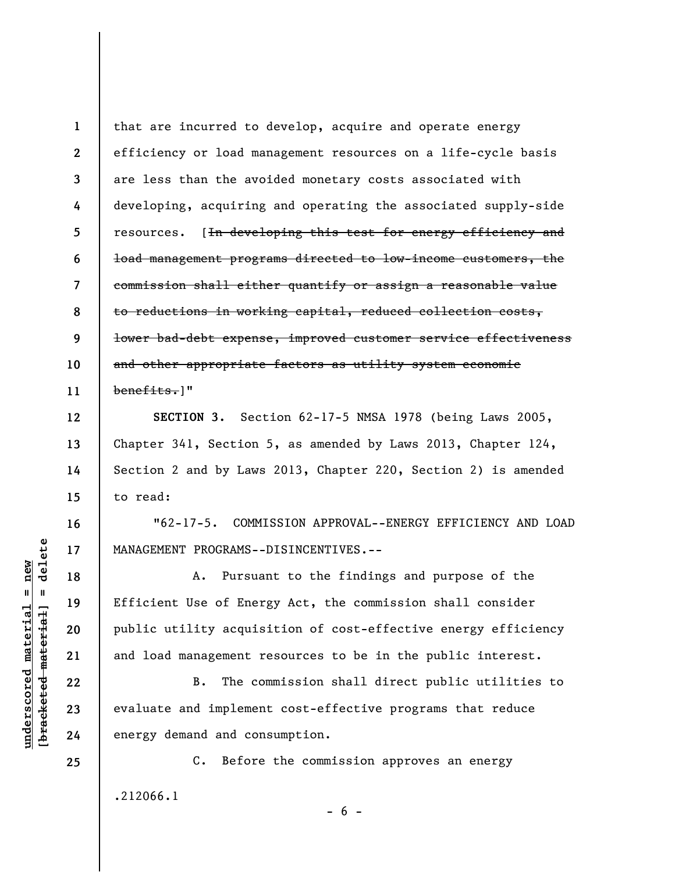**1 2 3 4 5 6 7 8 9 10 11**  that are incurred to develop, acquire and operate energy efficiency or load management resources on a life-cycle basis are less than the avoided monetary costs associated with developing, acquiring and operating the associated supply-side resources. [<del>In developing this test for energy efficiency and</del> load management programs directed to low-income customers, the commission shall either quantify or assign a reasonable value to reductions in working capital, reduced collection costs, lower bad-debt expense, improved customer service effectiveness and other appropriate factors as utility system economic benefits.]"

**SECTION 3.** Section 62-17-5 NMSA 1978 (being Laws 2005, Chapter 341, Section 5, as amended by Laws 2013, Chapter 124, Section 2 and by Laws 2013, Chapter 220, Section 2) is amended to read:

"62-17-5. COMMISSION APPROVAL--ENERGY EFFICIENCY AND LOAD MANAGEMENT PROGRAMS--DISINCENTIVES.--

A. Pursuant to the findings and purpose of the Efficient Use of Energy Act, the commission shall consider public utility acquisition of cost-effective energy efficiency and load management resources to be in the public interest.

B. The commission shall direct public utilities to evaluate and implement cost-effective programs that reduce energy demand and consumption.

C. Before the commission approves an energy .212066.1

 $- 6 -$ 

**12** 

**13** 

**14** 

**15** 

**16** 

**17** 

**18** 

**19** 

**20** 

**21** 

**22** 

**23** 

**24**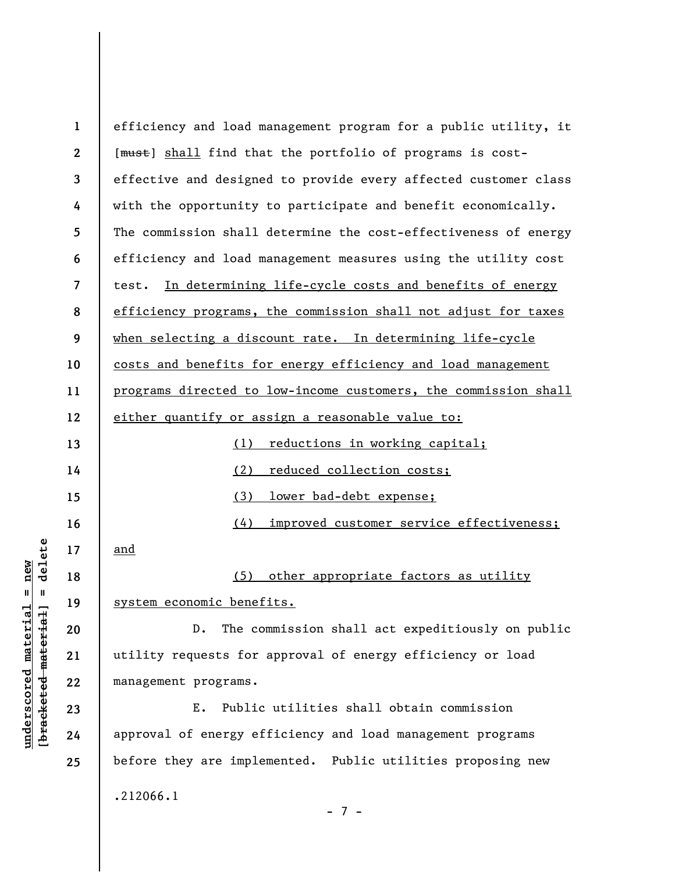**1 2 3 4 5 6 7 8 9 10 11 12 13 14 15 16 17 18 19 20 21 22 23 24 25**  efficiency and load management program for a public utility, it [ $mu$ st] shall find that the portfolio of programs is costeffective and designed to provide every affected customer class with the opportunity to participate and benefit economically. The commission shall determine the cost-effectiveness of energy efficiency and load management measures using the utility cost test. In determining life-cycle costs and benefits of energy efficiency programs, the commission shall not adjust for taxes when selecting a discount rate. In determining life-cycle costs and benefits for energy efficiency and load management programs directed to low-income customers, the commission shall either quantify or assign a reasonable value to: (1) reductions in working capital; (2) reduced collection costs; (3) lower bad-debt expense; (4) improved customer service effectiveness; and (5) other appropriate factors as utility system economic benefits. D. The commission shall act expeditiously on public utility requests for approval of energy efficiency or load management programs. E. Public utilities shall obtain commission approval of energy efficiency and load management programs before they are implemented. Public utilities proposing new .212066.1 - 7 -

 $\frac{1}{2}$  of  $\frac{1}{2}$  and  $\frac{1}{2}$  and  $\frac{1}{2}$  and  $\frac{1}{2}$  and  $\frac{1}{2}$  and  $\frac{1}{2}$  and  $\frac{1}{2}$  and  $\frac{1}{2}$  and  $\frac{1}{2}$  and  $\frac{1}{2}$  and  $\frac{1}{2}$  and  $\frac{1}{2}$  and  $\frac{1}{2}$  and  $\frac{1}{2}$  and  $\frac{1}{2}$  an **[bracketed material] = delete** inderscored material = new **underscored material = new**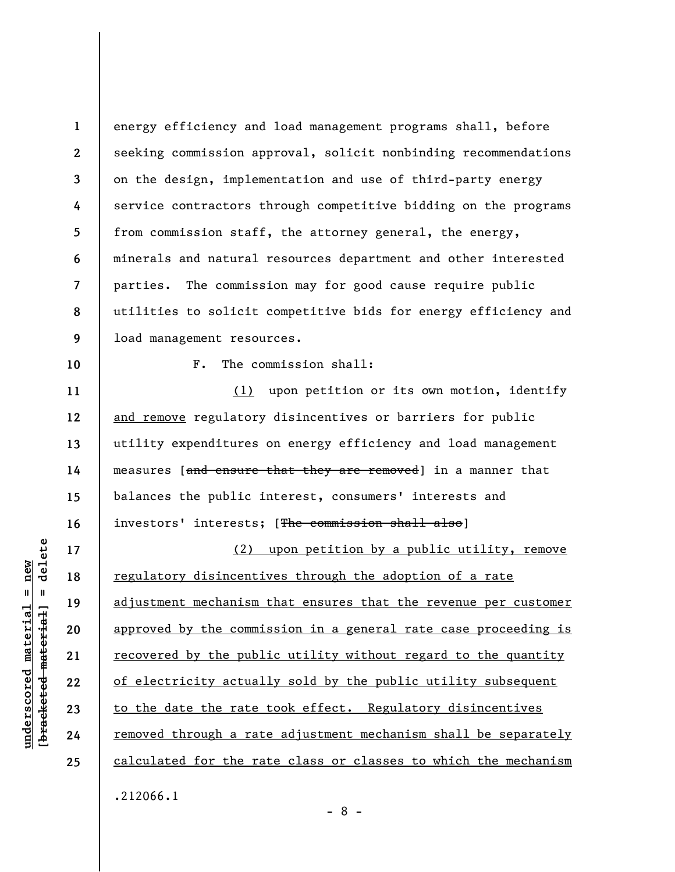**1 2 3 4 5 6 7 8 9**  energy efficiency and load management programs shall, before seeking commission approval, solicit nonbinding recommendations on the design, implementation and use of third-party energy service contractors through competitive bidding on the programs from commission staff, the attorney general, the energy, minerals and natural resources department and other interested parties. The commission may for good cause require public utilities to solicit competitive bids for energy efficiency and load management resources.

**10** 

**11** 

**12** 

**13** 

**14** 

**15** 

**16** 

**17** 

**18** 

**19** 

**20** 

**21** 

**22** 

**23** 

**24** 

**25** 

F. The commission shall:

(1) upon petition or its own motion, identify and remove regulatory disincentives or barriers for public utility expenditures on energy efficiency and load management measures [and ensure that they are removed] in a manner that balances the public interest, consumers' interests and investors' interests; [The commission shall also]

(2) upon petition by a public utility, remove regulatory disincentives through the adoption of a rate adjustment mechanism that ensures that the revenue per customer approved by the commission in a general rate case proceeding is recovered by the public utility without regard to the quantity of electricity actually sold by the public utility subsequent to the date the rate took effect. Regulatory disincentives removed through a rate adjustment mechanism shall be separately calculated for the rate class or classes to which the mechanism .212066.1

 $\frac{1}{2}$  intereted material = delete **[bracketed material] = delete**  $anderscored material = new$ **underscored material = new**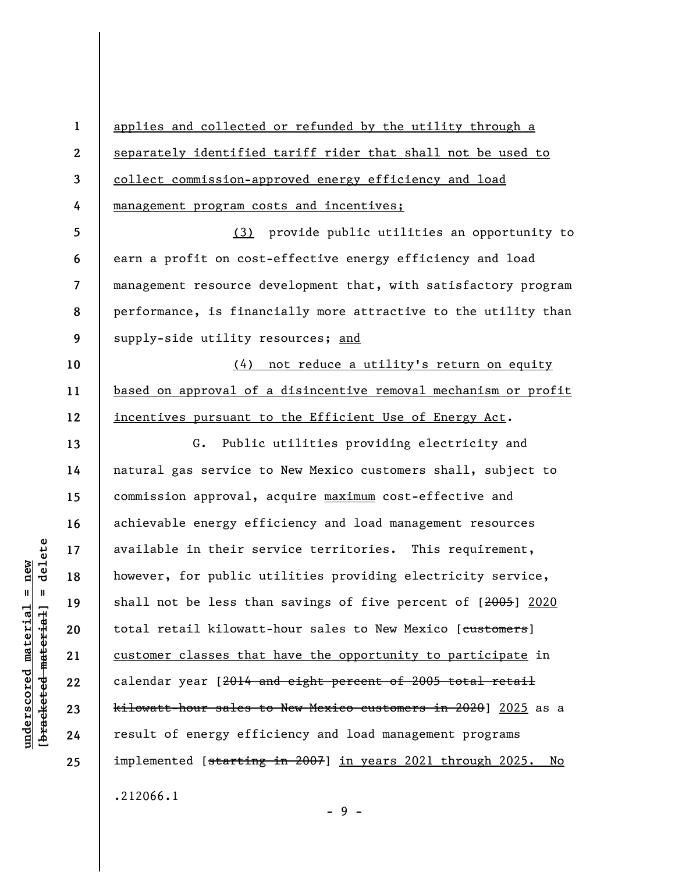**1 2 3 4 5 6 7 8 9 10 11 12 13 14 15 16 17 18 19 20 21 22 23 24 25**  applies and collected or refunded by the utility through a separately identified tariff rider that shall not be used to collect commission-approved energy efficiency and load management program costs and incentives; (3) provide public utilities an opportunity to earn a profit on cost-effective energy efficiency and load management resource development that, with satisfactory program performance, is financially more attractive to the utility than supply-side utility resources; and (4) not reduce a utility's return on equity based on approval of a disincentive removal mechanism or profit incentives pursuant to the Efficient Use of Energy Act. G. Public utilities providing electricity and natural gas service to New Mexico customers shall, subject to commission approval, acquire maximum cost-effective and achievable energy efficiency and load management resources available in their service territories. This requirement, however, for public utilities providing electricity service, shall not be less than savings of five percent of [2005] 2020 total retail kilowatt-hour sales to New Mexico [customers] customer classes that have the opportunity to participate in calendar year [2014 and eight percent of 2005 total retail kilowatt-hour sales to New Mexico customers in 2020] 2025 as a result of energy efficiency and load management programs implemented [starting in 2007] in years 2021 through 2025. No .212066.1

- 9 -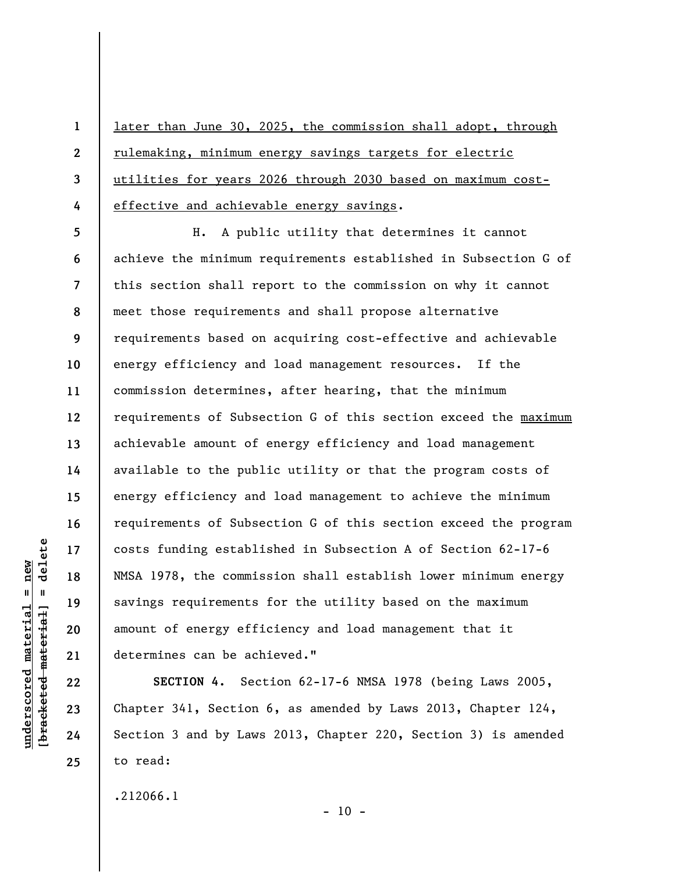**1 2 3 4**  later than June 30, 2025, the commission shall adopt, through rulemaking, minimum energy savings targets for electric utilities for years 2026 through 2030 based on maximum costeffective and achievable energy savings.

**8 12**  H. A public utility that determines it cannot achieve the minimum requirements established in Subsection G of this section shall report to the commission on why it cannot meet those requirements and shall propose alternative requirements based on acquiring cost-effective and achievable energy efficiency and load management resources. If the commission determines, after hearing, that the minimum requirements of Subsection G of this section exceed the maximum achievable amount of energy efficiency and load management available to the public utility or that the program costs of energy efficiency and load management to achieve the minimum requirements of Subsection G of this section exceed the program costs funding established in Subsection A of Section 62-17-6 NMSA 1978, the commission shall establish lower minimum energy savings requirements for the utility based on the maximum amount of energy efficiency and load management that it determines can be achieved."

**SECTION 4.** Section 62-17-6 NMSA 1978 (being Laws 2005, Chapter 341, Section 6, as amended by Laws 2013, Chapter 124, Section 3 and by Laws 2013, Chapter 220, Section 3) is amended to read:

 $- 10 -$ 

.212066.1

 $\frac{1}{2}$  intereted material = delete **[bracketed material] = delete**  $anderscored material = new$ **underscored material = new**

**5** 

**6** 

**7** 

**9** 

**10** 

**11** 

**13** 

**14** 

**15** 

**16** 

**17** 

**18** 

**19** 

**20** 

**21** 

**22** 

**23** 

**24**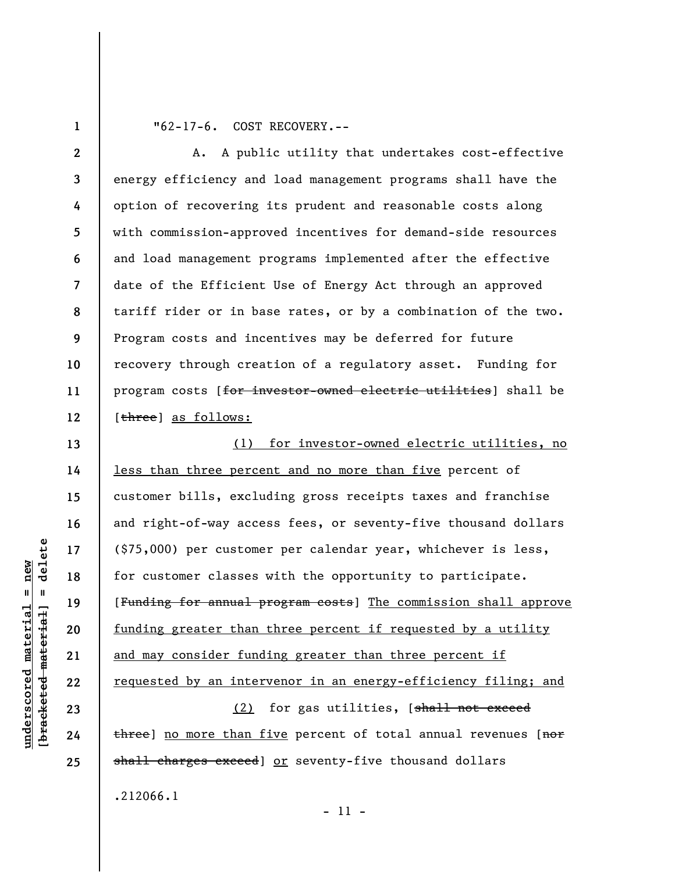**1** 

**13** 

**14** 

**15** 

**16** 

**17** 

**18** 

**19** 

**20** 

**21** 

**22** 

**23** 

**24** 

**25** 

"62-17-6. COST RECOVERY.--

**2 3 4 5 6 7 8 9 10 11 12**  A. A public utility that undertakes cost-effective energy efficiency and load management programs shall have the option of recovering its prudent and reasonable costs along with commission-approved incentives for demand-side resources and load management programs implemented after the effective date of the Efficient Use of Energy Act through an approved tariff rider or in base rates, or by a combination of the two. Program costs and incentives may be deferred for future recovery through creation of a regulatory asset. Funding for program costs [for investor-owned electric utilities] shall be [three] as follows:

(1) for investor-owned electric utilities, no less than three percent and no more than five percent of customer bills, excluding gross receipts taxes and franchise and right-of-way access fees, or seventy-five thousand dollars (\$75,000) per customer per calendar year, whichever is less, for customer classes with the opportunity to participate. [Funding for annual program costs] The commission shall approve funding greater than three percent if requested by a utility and may consider funding greater than three percent if requested by an intervenor in an energy-efficiency filing; and (2) for gas utilities, [shall not exceed

three) no more than five percent of total annual revenues [nor shall charges exceed] or seventy-five thousand dollars .212066.1

 $\frac{1}{2}$  intereted material = delete **[bracketed material] = delete**  $anderscored material = new$ **underscored material = new**